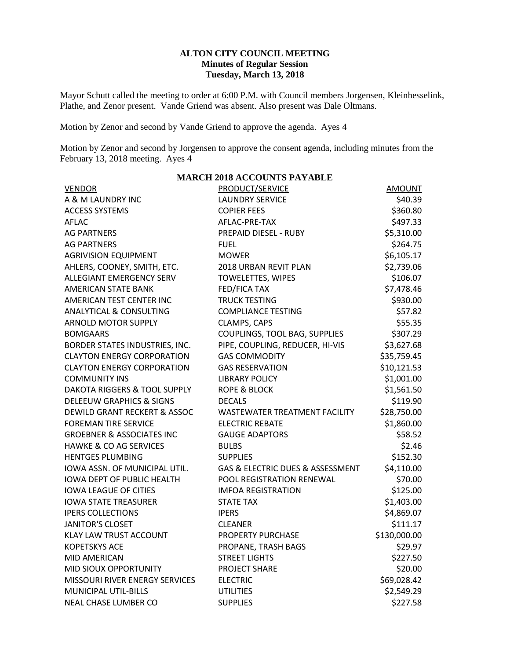## **ALTON CITY COUNCIL MEETING Minutes of Regular Session Tuesday, March 13, 2018**

Mayor Schutt called the meeting to order at 6:00 P.M. with Council members Jorgensen, Kleinhesselink, Plathe, and Zenor present. Vande Griend was absent. Also present was Dale Oltmans.

Motion by Zenor and second by Vande Griend to approve the agenda. Ayes 4

Motion by Zenor and second by Jorgensen to approve the consent agenda, including minutes from the February 13, 2018 meeting. Ayes 4

**MARCH 2018 ACCOUNTS PAYABLE**

|                                         | MANCH 2010 ACCOUNTD I AT ADDL    |               |
|-----------------------------------------|----------------------------------|---------------|
| <b>VENDOR</b>                           | PRODUCT/SERVICE                  | <b>AMOUNT</b> |
| A & M LAUNDRY INC                       | <b>LAUNDRY SERVICE</b>           | \$40.39       |
| <b>ACCESS SYSTEMS</b>                   | <b>COPIER FEES</b>               | \$360.80      |
| <b>AFLAC</b>                            | AFLAC-PRE-TAX                    | \$497.33      |
| <b>AG PARTNERS</b>                      | PREPAID DIESEL - RUBY            | \$5,310.00    |
| <b>AG PARTNERS</b>                      | <b>FUEL</b>                      | \$264.75      |
| <b>AGRIVISION EQUIPMENT</b>             | <b>MOWER</b>                     | \$6,105.17    |
| AHLERS, COONEY, SMITH, ETC.             | 2018 URBAN REVIT PLAN            | \$2,739.06    |
| <b>ALLEGIANT EMERGENCY SERV</b>         | <b>TOWELETTES, WIPES</b>         | \$106.07      |
| <b>AMERICAN STATE BANK</b>              | <b>FED/FICA TAX</b>              | \$7,478.46    |
| AMERICAN TEST CENTER INC                | <b>TRUCK TESTING</b>             | \$930.00      |
| <b>ANALYTICAL &amp; CONSULTING</b>      | <b>COMPLIANCE TESTING</b>        | \$57.82       |
| <b>ARNOLD MOTOR SUPPLY</b>              | CLAMPS, CAPS                     | \$55.35       |
| <b>BOMGAARS</b>                         | COUPLINGS, TOOL BAG, SUPPLIES    | \$307.29      |
| BORDER STATES INDUSTRIES, INC.          | PIPE, COUPLING, REDUCER, HI-VIS  | \$3,627.68    |
| <b>CLAYTON ENERGY CORPORATION</b>       | <b>GAS COMMODITY</b>             | \$35,759.45   |
| <b>CLAYTON ENERGY CORPORATION</b>       | <b>GAS RESERVATION</b>           | \$10,121.53   |
| <b>COMMUNITY INS</b>                    | <b>LIBRARY POLICY</b>            | \$1,001.00    |
| <b>DAKOTA RIGGERS &amp; TOOL SUPPLY</b> | <b>ROPE &amp; BLOCK</b>          | \$1,561.50    |
| <b>DELEEUW GRAPHICS &amp; SIGNS</b>     | <b>DECALS</b>                    | \$119.90      |
| <b>DEWILD GRANT RECKERT &amp; ASSOC</b> | WASTEWATER TREATMENT FACILITY    | \$28,750.00   |
| <b>FOREMAN TIRE SERVICE</b>             | <b>ELECTRIC REBATE</b>           | \$1,860.00    |
| <b>GROEBNER &amp; ASSOCIATES INC</b>    | <b>GAUGE ADAPTORS</b>            | \$58.52       |
| <b>HAWKE &amp; CO AG SERVICES</b>       | <b>BULBS</b>                     | \$2.46        |
| <b>HENTGES PLUMBING</b>                 | <b>SUPPLIES</b>                  | \$152.30      |
| IOWA ASSN. OF MUNICIPAL UTIL.           | GAS & ELECTRIC DUES & ASSESSMENT | \$4,110.00    |
| <b>IOWA DEPT OF PUBLIC HEALTH</b>       | POOL REGISTRATION RENEWAL        | \$70.00       |
| <b>IOWA LEAGUE OF CITIES</b>            | <b>IMFOA REGISTRATION</b>        | \$125.00      |
| <b>IOWA STATE TREASURER</b>             | <b>STATE TAX</b>                 | \$1,403.00    |
| <b>IPERS COLLECTIONS</b>                | <b>IPERS</b>                     | \$4,869.07    |
| <b>JANITOR'S CLOSET</b>                 | <b>CLEANER</b>                   | \$111.17      |
| <b>KLAY LAW TRUST ACCOUNT</b>           | PROPERTY PURCHASE                | \$130,000.00  |
| <b>KOPETSKYS ACE</b>                    | PROPANE, TRASH BAGS              | \$29.97       |
| MID AMERICAN                            | <b>STREET LIGHTS</b>             | \$227.50      |
| MID SIOUX OPPORTUNITY                   | PROJECT SHARE                    | \$20.00       |
| MISSOURI RIVER ENERGY SERVICES          | <b>ELECTRIC</b>                  | \$69,028.42   |
| <b>MUNICIPAL UTIL-BILLS</b>             | <b>UTILITIES</b>                 | \$2,549.29    |
| <b>NEAL CHASE LUMBER CO</b>             | <b>SUPPLIES</b>                  | \$227.58      |
|                                         |                                  |               |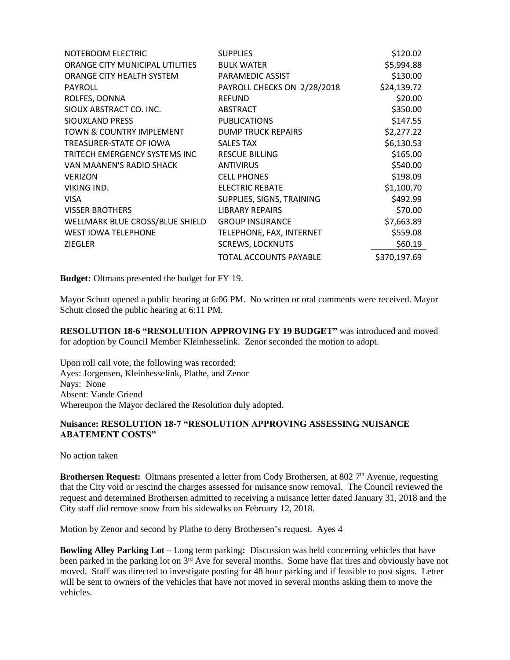| NOTEBOOM ELECTRIC               | <b>SUPPLIES</b>               | \$120.02     |
|---------------------------------|-------------------------------|--------------|
| ORANGE CITY MUNICIPAL UTILITIES | <b>BULK WATER</b>             | \$5,994.88   |
| ORANGE CITY HEALTH SYSTEM       | PARAMEDIC ASSIST              | \$130.00     |
| <b>PAYROLL</b>                  | PAYROLL CHECKS ON 2/28/2018   | \$24,139.72  |
| ROLFES, DONNA                   | <b>REFUND</b>                 | \$20.00      |
| SIOUX ABSTRACT CO. INC.         | <b>ABSTRACT</b>               | \$350.00     |
| SIOUXLAND PRESS                 | <b>PUBLICATIONS</b>           | \$147.55     |
| TOWN & COUNTRY IMPLEMENT        | <b>DUMP TRUCK REPAIRS</b>     | \$2,277.22   |
| TREASURER-STATE OF IOWA         | <b>SALES TAX</b>              | \$6,130.53   |
| TRITECH EMERGENCY SYSTEMS INC   | <b>RESCUE BILLING</b>         | \$165.00     |
| VAN MAANEN'S RADIO SHACK        | <b>ANTIVIRUS</b>              | \$540.00     |
| <b>VERIZON</b>                  | <b>CELL PHONES</b>            | \$198.09     |
| VIKING IND.                     | <b>ELECTRIC REBATE</b>        | \$1,100.70   |
| <b>VISA</b>                     | SUPPLIES, SIGNS, TRAINING     | \$492.99     |
| <b>VISSER BROTHERS</b>          | <b>LIBRARY REPAIRS</b>        | \$70.00      |
| WELLMARK BLUE CROSS/BLUE SHIELD | <b>GROUP INSURANCE</b>        | \$7,663.89   |
| <b>WEST IOWA TELEPHONE</b>      | TELEPHONE, FAX, INTERNET      | \$559.08     |
| <b>ZIEGLER</b>                  | <b>SCREWS, LOCKNUTS</b>       | \$60.19      |
|                                 | <b>TOTAL ACCOUNTS PAYABLE</b> | \$370,197.69 |

**Budget:** Oltmans presented the budget for FY 19.

Mayor Schutt opened a public hearing at 6:06 PM. No written or oral comments were received. Mayor Schutt closed the public hearing at 6:11 PM.

**RESOLUTION 18-6 "RESOLUTION APPROVING FY 19 BUDGET"** was introduced and moved for adoption by Council Member Kleinhesselink. Zenor seconded the motion to adopt.

Upon roll call vote, the following was recorded: Ayes: Jorgensen, Kleinhesselink, Plathe, and Zenor Nays: None Absent: Vande Griend Whereupon the Mayor declared the Resolution duly adopted.

## **Nuisance: RESOLUTION 18-7 "RESOLUTION APPROVING ASSESSING NUISANCE ABATEMENT COSTS"**

No action taken

**Brothersen Request:** Oltmans presented a letter from Cody Brothersen, at 802 7<sup>th</sup> Avenue, requesting that the City void or rescind the charges assessed for nuisance snow removal. The Council reviewed the request and determined Brothersen admitted to receiving a nuisance letter dated January 31, 2018 and the City staff did remove snow from his sidewalks on February 12, 2018.

Motion by Zenor and second by Plathe to deny Brothersen's request. Ayes 4

**Bowling Alley Parking Lot –** Long term parking**:** Discussion was held concerning vehicles that have been parked in the parking lot on 3<sup>rd</sup> Ave for several months. Some have flat tires and obviously have not moved. Staff was directed to investigate posting for 48 hour parking and if feasible to post signs. Letter will be sent to owners of the vehicles that have not moved in several months asking them to move the vehicles.